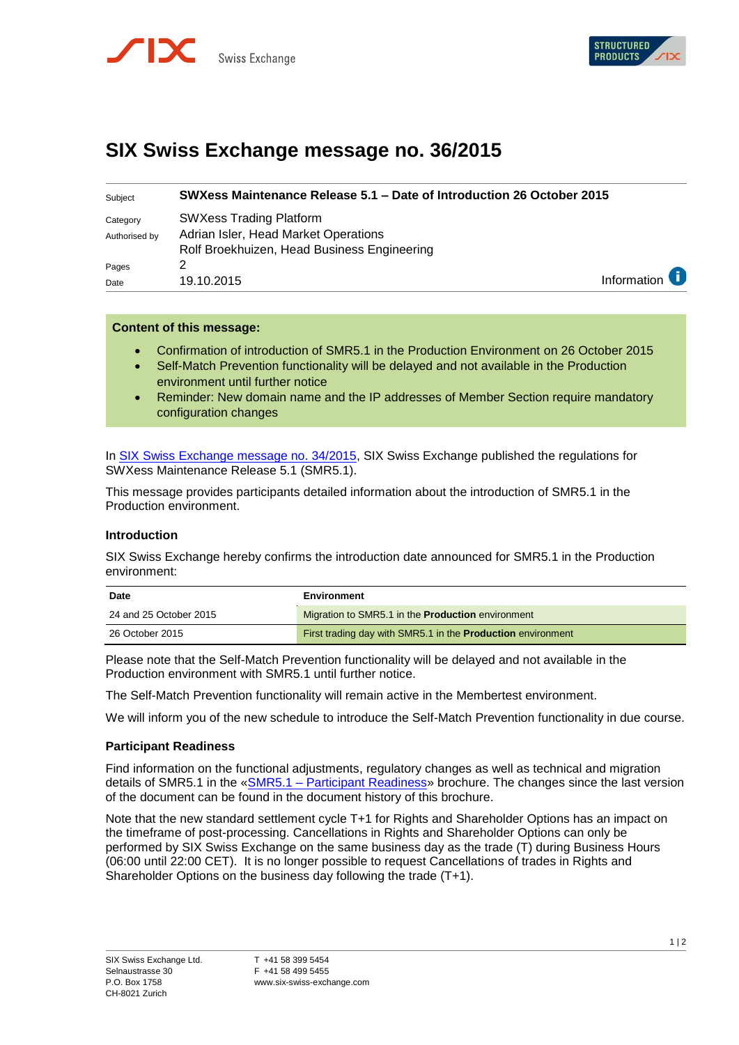



# **SIX Swiss Exchange message no. 36/2015**

| Information $\epsilon$ |
|------------------------|
|                        |

## **Content of this message:**

- Confirmation of introduction of SMR5.1 in the Production Environment on 26 October 2015
- Self-Match Prevention functionality will be delayed and not available in the Production environment until further notice
- Reminder: New domain name and the IP addresses of Member Section require mandatory configuration changes

In [SIX Swiss Exchange message no. 34/2015,](http://www.six-swiss-exchange.com/swx_messages/online/swx_message_201509281211_en.pdf) SIX Swiss Exchange published the regulations for SWXess Maintenance Release 5.1 (SMR5.1).

This message provides participants detailed information about the introduction of SMR5.1 in the Production environment.

# **Introduction**

SIX Swiss Exchange hereby confirms the introduction date announced for SMR5.1 in the Production environment:

| <b>Date</b>            | Environment                                                        |
|------------------------|--------------------------------------------------------------------|
| 24 and 25 October 2015 | Migration to SMR5.1 in the <b>Production</b> environment           |
| 26 October 2015        | First trading day with SMR5.1 in the <b>Production</b> environment |

Please note that the Self-Match Prevention functionality will be delayed and not available in the Production environment with SMR5.1 until further notice.

The Self-Match Prevention functionality will remain active in the Membertest environment.

We will inform you of the new schedule to introduce the Self-Match Prevention functionality in due course.

#### **Participant Readiness**

Find information on the functional adjustments, regulatory changes as well as technical and migration details of SMR5.1 in the «SMR5.1 – [Participant Readiness»](http://www.six-swiss-exchange.com/download/participants/regulation/trading_guides/smr51_participant_readiness.pdf) brochure. The changes since the last version of the document can be found in the document history of this brochure.

Note that the new standard settlement cycle T+1 for Rights and Shareholder Options has an impact on the timeframe of post-processing. Cancellations in Rights and Shareholder Options can only be performed by SIX Swiss Exchange on the same business day as the trade (T) during Business Hours (06:00 until 22:00 CET). It is no longer possible to request Cancellations of trades in Rights and Shareholder Options on the business day following the trade (T+1).